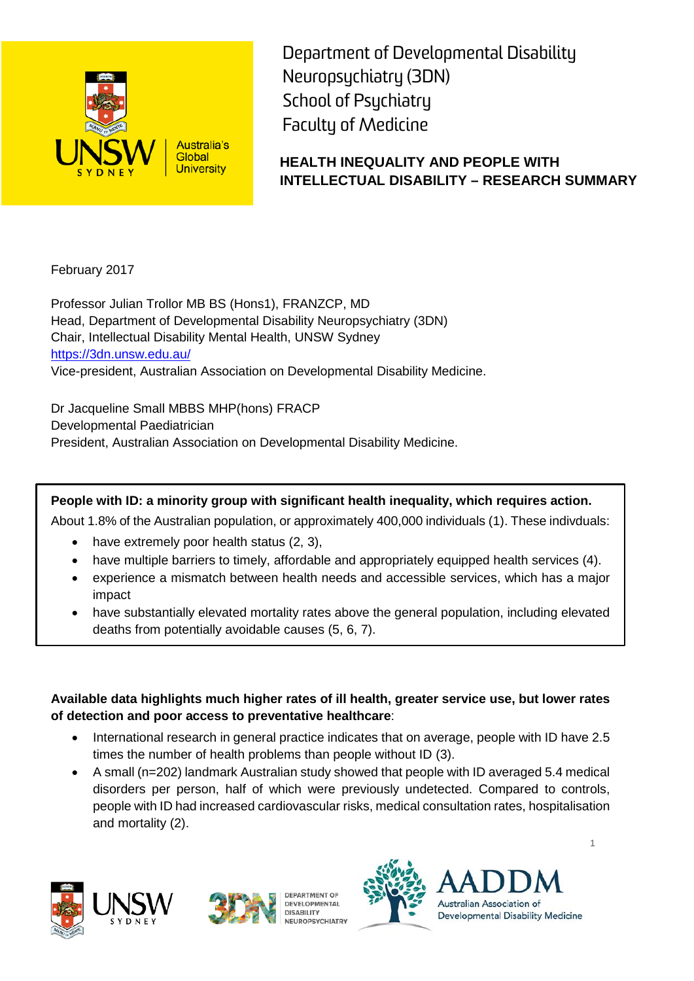

Department of Developmental Disability Neuropsychiatry (3DN) School of Psychiatry Faculty of Medicine

# **HEALTH INEQUALITY AND PEOPLE WITH INTELLECTUAL DISABILITY – RESEARCH SUMMARY**

February 2017

Professor Julian Trollor MB BS (Hons1), FRANZCP, MD Head, Department of Developmental Disability Neuropsychiatry (3DN) Chair, Intellectual Disability Mental Health, UNSW Sydney <https://3dn.unsw.edu.au/> Vice-president, Australian Association on Developmental Disability Medicine.

Dr Jacqueline Small MBBS MHP(hons) FRACP Developmental Paediatrician President, Australian Association on Developmental Disability Medicine.

**People with ID: a minority group with significant health inequality, which requires action.**

About 1.8% of the Australian population, or approximately 400,000 individuals (1). These indivduals:

- have extremely poor health status (2, 3),
- have multiple barriers to timely, affordable and appropriately equipped health services (4).
- experience a mismatch between health needs and accessible services, which has a major impact
- have substantially elevated mortality rates above the general population, including elevated deaths from potentially avoidable causes (5, 6, 7).

**Available data highlights much higher rates of ill health, greater service use, but lower rates of detection and poor access to preventative healthcare**:

- International research in general practice indicates that on average, people with ID have 2.5 times the number of health problems than people without ID (3).
- A small (n=202) landmark Australian study showed that people with ID averaged 5.4 medical disorders per person, half of which were previously undetected. Compared to controls, people with ID had increased cardiovascular risks, medical consultation rates, hospitalisation and mortality (2).







DEPARTMENT OF **DEVELOPMENTAL DISABILITY NEUROPSYCHIATRY** 



1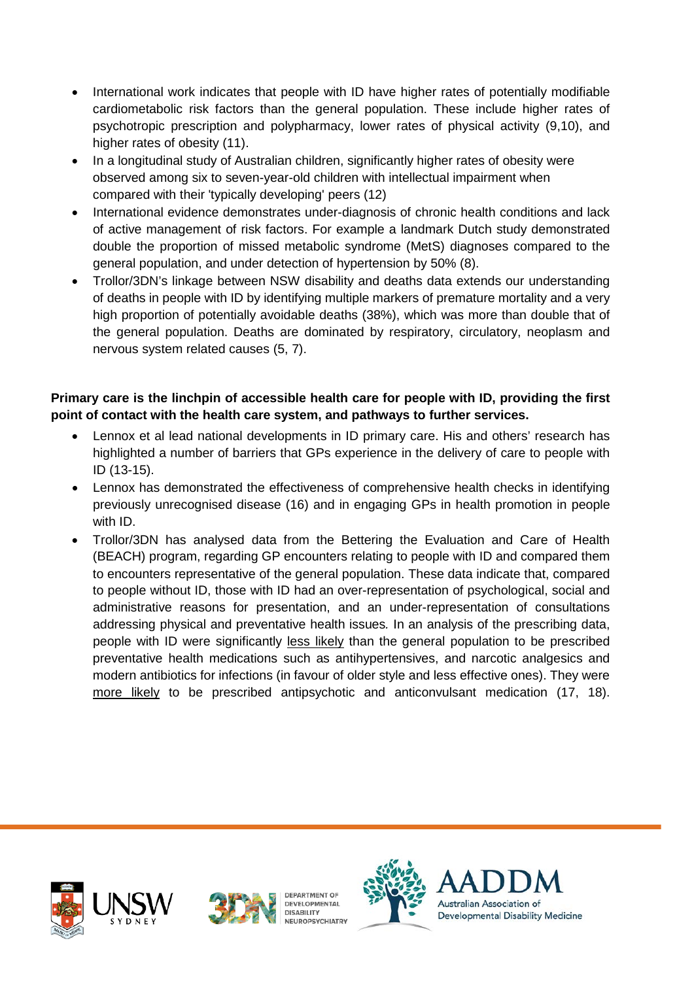- International work indicates that people with ID have higher rates of potentially modifiable cardiometabolic risk factors than the general population. These include higher rates of psychotropic prescription and polypharmacy, lower rates of physical activity (9,10), and higher rates of obesity (11).
- In a longitudinal study of Australian children, significantly higher rates of obesity were observed among six to seven-year-old children with intellectual impairment when compared with their 'typically developing' peers (12)
- International evidence demonstrates under-diagnosis of chronic health conditions and lack of active management of risk factors. For example a landmark Dutch study demonstrated double the proportion of missed metabolic syndrome (MetS) diagnoses compared to the general population, and under detection of hypertension by 50% (8).
- Trollor/3DN's linkage between NSW disability and deaths data extends our understanding of deaths in people with ID by identifying multiple markers of premature mortality and a very high proportion of potentially avoidable deaths (38%), which was more than double that of the general population. Deaths are dominated by respiratory, circulatory, neoplasm and nervous system related causes (5, 7).

#### **Primary care is the linchpin of accessible health care for people with ID, providing the first point of contact with the health care system, and pathways to further services.**

- Lennox et al lead national developments in ID primary care. His and others' research has highlighted a number of barriers that GPs experience in the delivery of care to people with ID (13-15).
- Lennox has demonstrated the effectiveness of comprehensive health checks in identifying previously unrecognised disease (16) and in engaging GPs in health promotion in people with ID.
- Trollor/3DN has analysed data from the Bettering the Evaluation and Care of Health (BEACH) program, regarding GP encounters relating to people with ID and compared them to encounters representative of the general population. These data indicate that, compared to people without ID, those with ID had an over-representation of psychological, social and administrative reasons for presentation, and an under-representation of consultations addressing physical and preventative health issues*.* In an analysis of the prescribing data, people with ID were significantly less likely than the general population to be prescribed preventative health medications such as antihypertensives, and narcotic analgesics and modern antibiotics for infections (in favour of older style and less effective ones). They were more likely to be prescribed antipsychotic and anticonvulsant medication (17, 18).









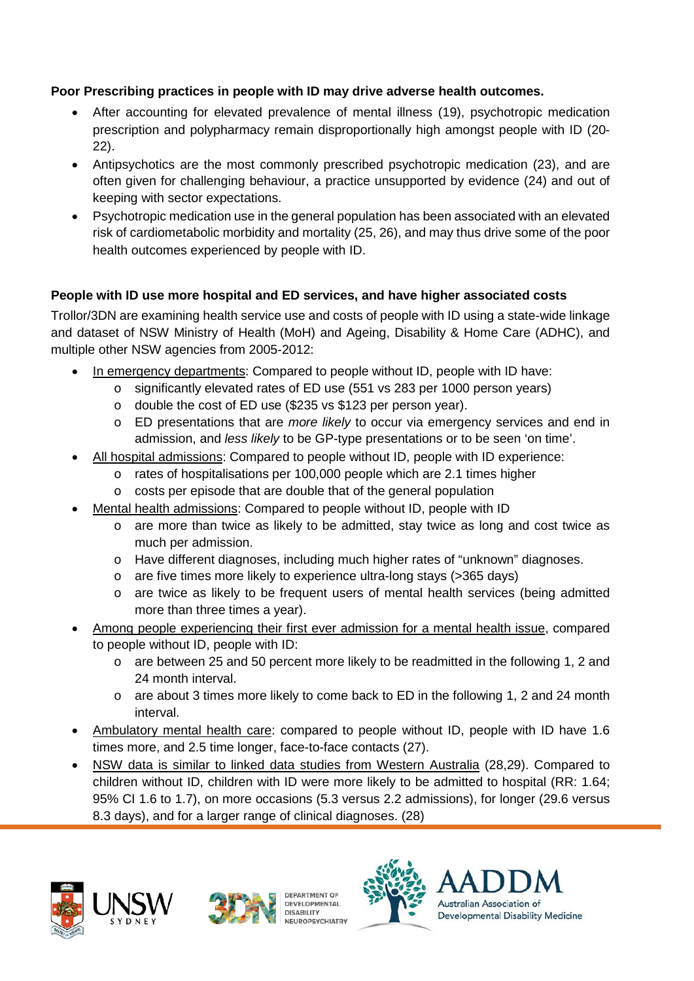### **Poor Prescribing practices in people with ID may drive adverse health outcomes.**

- After accounting for elevated prevalence of mental illness (19), psychotropic medication prescription and polypharmacy remain disproportionally high amongst people with ID (20- 22).
- Antipsychotics are the most commonly prescribed psychotropic medication (23), and are often given for challenging behaviour, a practice unsupported by evidence (24) and out of keeping with sector expectations.
- Psychotropic medication use in the general population has been associated with an elevated risk of cardiometabolic morbidity and mortality (25, 26), and may thus drive some of the poor health outcomes experienced by people with ID.

## **People with ID use more hospital and ED services, and have higher associated costs**

Trollor/3DN are examining health service use and costs of people with ID using a state-wide linkage and dataset of NSW Ministry of Health (MoH) and Ageing, Disability & Home Care (ADHC), and multiple other NSW agencies from 2005-2012:

- In emergency departments: Compared to people without ID, people with ID have:
	- o significantly elevated rates of ED use (551 vs 283 per 1000 person years)
	- o double the cost of ED use (\$235 vs \$123 per person year).
	- o ED presentations that are *more likely* to occur via emergency services and end in admission, and *less likely* to be GP-type presentations or to be seen 'on time'.
- All hospital admissions: Compared to people without ID, people with ID experience:
	- o rates of hospitalisations per 100,000 people which are 2.1 times higher
	- o costs per episode that are double that of the general population
- Mental health admissions: Compared to people without ID, people with ID
	- o are more than twice as likely to be admitted, stay twice as long and cost twice as much per admission.
	- o Have different diagnoses, including much higher rates of "unknown" diagnoses.
	- o are five times more likely to experience ultra-long stays (>365 days)
	- o are twice as likely to be frequent users of mental health services (being admitted more than three times a year).
- Among people experiencing their first ever admission for a mental health issue, compared to people without ID, people with ID:
	- $\circ$  are between 25 and 50 percent more likely to be readmitted in the following 1, 2 and 24 month interval.
	- $\circ$  are about 3 times more likely to come back to ED in the following 1, 2 and 24 month interval.
- Ambulatory mental health care: compared to people without ID, people with ID have 1.6 times more, and 2.5 time longer, face-to-face contacts (27).
- NSW data is similar to linked data studies from Western Australia (28,29). Compared to children without ID, children with ID were more likely to be admitted to hospital (RR: 1.64; 95% CI 1.6 to 1.7), on more occasions (5.3 versus 2.2 admissions), for longer (29.6 versus 8.3 days), and for a larger range of clinical diagnoses. (28)





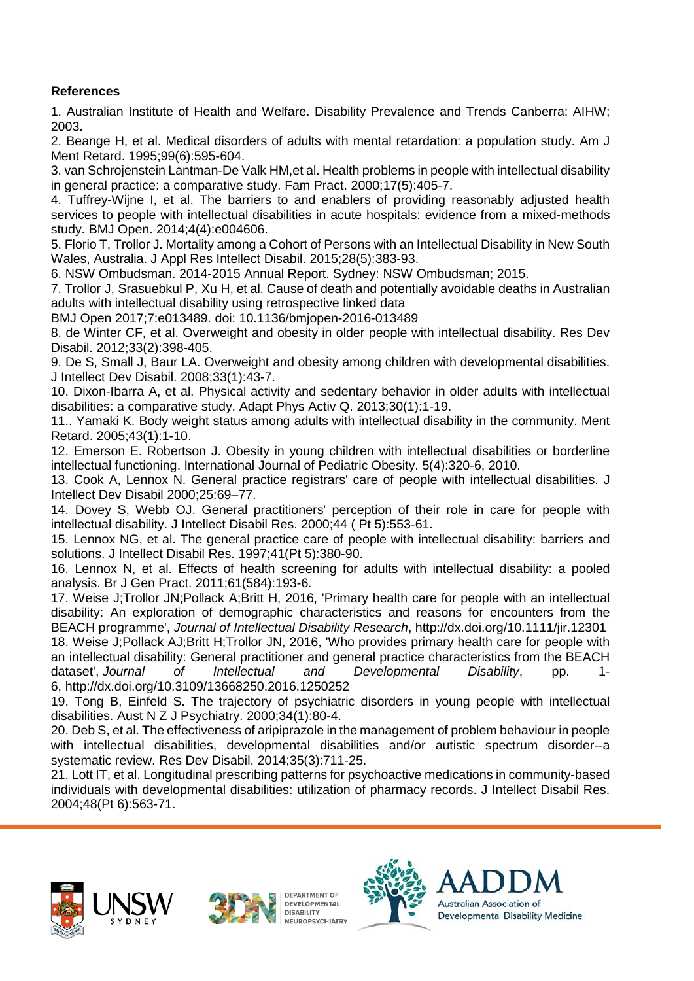#### **References**

1. Australian Institute of Health and Welfare. Disability Prevalence and Trends Canberra: AIHW; 2003.

2. Beange H, et al. Medical disorders of adults with mental retardation: a population study. Am J Ment Retard. 1995;99(6):595-604.

3. van Schrojenstein Lantman-De Valk HM,et al. Health problems in people with intellectual disability in general practice: a comparative study. Fam Pract. 2000;17(5):405-7.

4. Tuffrey-Wijne I, et al. The barriers to and enablers of providing reasonably adjusted health services to people with intellectual disabilities in acute hospitals: evidence from a mixed-methods study. BMJ Open. 2014;4(4):e004606.

5. Florio T, Trollor J. Mortality among a Cohort of Persons with an Intellectual Disability in New South Wales, Australia. J Appl Res Intellect Disabil. 2015;28(5):383-93.

6. NSW Ombudsman. 2014-2015 Annual Report. Sydney: NSW Ombudsman; 2015.

7. Trollor J, Srasuebkul P, Xu H, et al. Cause of death and potentially avoidable deaths in Australian adults with intellectual disability using retrospective linked data

BMJ Open 2017;7:e013489. doi: 10.1136/bmjopen-2016-013489

8. de Winter CF, et al. Overweight and obesity in older people with intellectual disability. Res Dev Disabil. 2012;33(2):398-405.

9. De S, Small J, Baur LA. Overweight and obesity among children with developmental disabilities. J Intellect Dev Disabil. 2008;33(1):43-7.

10. Dixon-Ibarra A, et al. Physical activity and sedentary behavior in older adults with intellectual disabilities: a comparative study. Adapt Phys Activ Q. 2013;30(1):1-19.

11.. Yamaki K. Body weight status among adults with intellectual disability in the community. Ment Retard. 2005;43(1):1-10.

12. Emerson E. Robertson J. Obesity in young children with intellectual disabilities or borderline intellectual functioning. International Journal of Pediatric Obesity. 5(4):320-6, 2010.

13. Cook A, Lennox N. General practice registrars' care of people with intellectual disabilities. J Intellect Dev Disabil 2000;25:69–77.

14. Dovey S, Webb OJ. General practitioners' perception of their role in care for people with intellectual disability. J Intellect Disabil Res. 2000;44 ( Pt 5):553-61.

15. Lennox NG, et al. The general practice care of people with intellectual disability: barriers and solutions. J Intellect Disabil Res. 1997;41(Pt 5):380-90.

16. Lennox N, et al. Effects of health screening for adults with intellectual disability: a pooled analysis. Br J Gen Pract. 2011;61(584):193-6.

17. Weise J;Trollor JN;Pollack A;Britt H, 2016, 'Primary health care for people with an intellectual disability: An exploration of demographic characteristics and reasons for encounters from the BEACH programme', *Journal of Intellectual Disability Research*, http://dx.doi.org/10.1111/jir.12301

18. Weise J;Pollack AJ;Britt H;Trollor JN, 2016, 'Who provides primary health care for people with an intellectual disability: General practitioner and general practice characteristics from the BEACH dataset', *Journal of Intellectual and Developmental Disability*, pp. 1- 6, http://dx.doi.org/10.3109/13668250.2016.1250252

19. Tong B, Einfeld S. The trajectory of psychiatric disorders in young people with intellectual disabilities. Aust N Z J Psychiatry. 2000;34(1):80-4.

20. Deb S, et al. The effectiveness of aripiprazole in the management of problem behaviour in people with intellectual disabilities, developmental disabilities and/or autistic spectrum disorder--a systematic review. Res Dev Disabil. 2014;35(3):711-25.

21. Lott IT, et al. Longitudinal prescribing patterns for psychoactive medications in community-based individuals with developmental disabilities: utilization of pharmacy records. J Intellect Disabil Res. 2004;48(Pt 6):563-71.